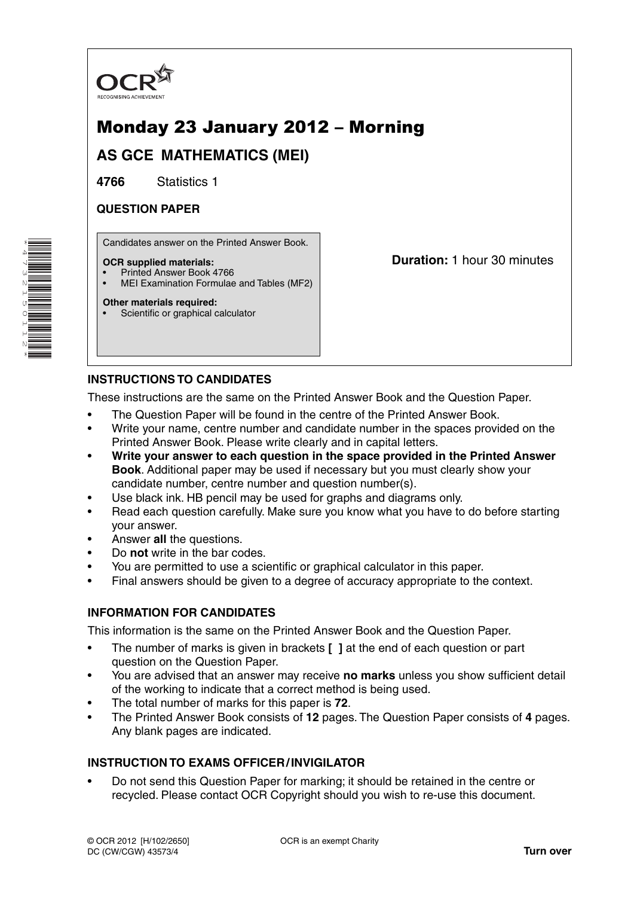

# Monday 23 January 2012 – Morning

**AS GCE MATHEMATICS (MEI)**

**4766** Statistics 1

# **QUESTION PAPER**

Candidates answer on the Printed Answer Book.

### **OCR supplied materials:**

- Printed Answer Book 4766
- MEI Examination Formulae and Tables (MF2)

**Duration:** 1 hour 30 minutes

#### **Other materials required:** Scientific or graphical calculator

# **INSTRUCTIONS TO CANDIDATES**

These instructions are the same on the Printed Answer Book and the Question Paper.

- The Question Paper will be found in the centre of the Printed Answer Book.
- Write your name, centre number and candidate number in the spaces provided on the Printed Answer Book. Please write clearly and in capital letters.
- **Write your answer to each question in the space provided in the Printed Answer Book**. Additional paper may be used if necessary but you must clearly show your candidate number, centre number and question number(s).
- Use black ink. HB pencil may be used for graphs and diagrams only.
- Read each question carefully. Make sure you know what you have to do before starting your answer.
- Answer **all** the questions.
- Do **not** write in the bar codes.
- You are permitted to use a scientific or graphical calculator in this paper.
- Final answers should be given to a degree of accuracy appropriate to the context.

## **INFORMATION FOR CANDIDATES**

This information is the same on the Printed Answer Book and the Question Paper.

- The number of marks is given in brackets **[ ]** at the end of each question or part question on the Question Paper.
- You are advised that an answer may receive **no marks** unless you show sufficient detail of the working to indicate that a correct method is being used.
- The total number of marks for this paper is **72**.
- The Printed Answer Book consists of **12** pages. The Question Paper consists of **4** pages. Any blank pages are indicated.

## **INSTRUCTION TO EXAMS OFFICER / INVIGILATOR**

• Do not send this Question Paper for marking; it should be retained in the centre or recycled. Please contact OCR Copyright should you wish to re-use this document.

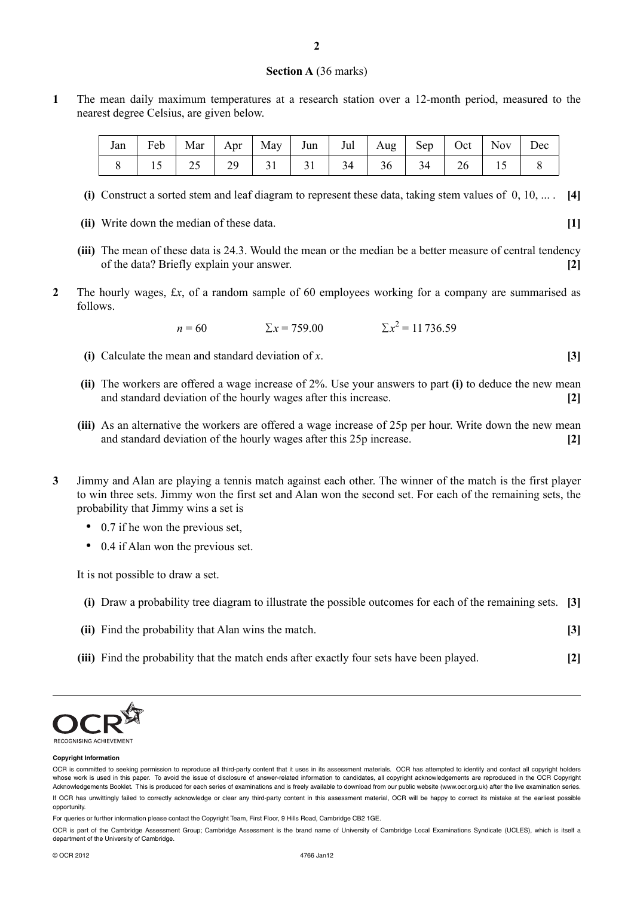#### **Section A** (36 marks)

**1** The mean daily maximum temperatures at a research station over a 12-month period, measured to the nearest degree Celsius, are given below.

|  |  |  |  | Jan   Feb   Mar   Apr   May   Jun   Jul   Aug   Sep   Oct   Nov   Dec |  |  |
|--|--|--|--|-----------------------------------------------------------------------|--|--|
|  |  |  |  | 15   25   29   31   31   34   36   34   26   15                       |  |  |

- **(i)** Construct a sorted stem and leaf diagram to represent these data, taking stem values of 0, 10, ... . **[4]**
- **(ii)** Write down the median of these data. **[1]**
- **(iii)** The mean of these data is 24.3. Would the mean or the median be a better measure of central tendency of the data? Briefly explain your answer. **[2]**
- **2** The hourly wages, £*x*, of a random sample of 60 employees working for a company are summarised as follows.

$$
n = 60 \qquad \qquad \Sigma x = 759.00 \qquad \qquad \Sigma x^2 = 11736.59
$$

- **(i)** Calculate the mean and standard deviation of *x*. **[3]**
- **(ii)** The workers are offered a wage increase of 2%. Use your answers to part **(i)** to deduce the new mean and standard deviation of the hourly wages after this increase. **[2]**
- **(iii)** As an alternative the workers are offered a wage increase of 25p per hour. Write down the new mean and standard deviation of the hourly wages after this 25p increase. **[2]**
- **3** Jimmy and Alan are playing a tennis match against each other. The winner of the match is the first player to win three sets. Jimmy won the first set and Alan won the second set. For each of the remaining sets, the probability that Jimmy wins a set is
	- 0.7 if he won the previous set,
	- 0.4 if Alan won the previous set.

It is not possible to draw a set.

- **(i)** Draw a probability tree diagram to illustrate the possible outcomes for each of the remaining sets. **[3]**
- **(ii)** Find the probability that Alan wins the match. **[3]**
- **(iii)** Find the probability that the match ends after exactly four sets have been played. **[2]**



#### **Copyright Information**

For queries or further information please contact the Copyright Team, First Floor, 9 Hills Road, Cambridge CB2 1GE.

OCR is part of the Cambridge Assessment Group; Cambridge Assessment is the brand name of University of Cambridge Local Examinations Syndicate (UCLES), which is itself a department of the University of Cambridge.

OCR is committed to seeking permission to reproduce all third-party content that it uses in its assessment materials. OCR has attempted to identify and contact all copyright holders whose work is used in this paper. To avoid the issue of disclosure of answer-related information to candidates, all copyright acknowledgements are reproduced in the OCR Copyright Acknowledgements Booklet. This is produced for each series of examinations and is freely available to download from our public website (www.ocr.org.uk) after the live examination series. If OCR has unwittingly failed to correctly acknowledge or clear any third-party content in this assessment material, OCR will be happy to correct its mistake at the earliest possible opportunity.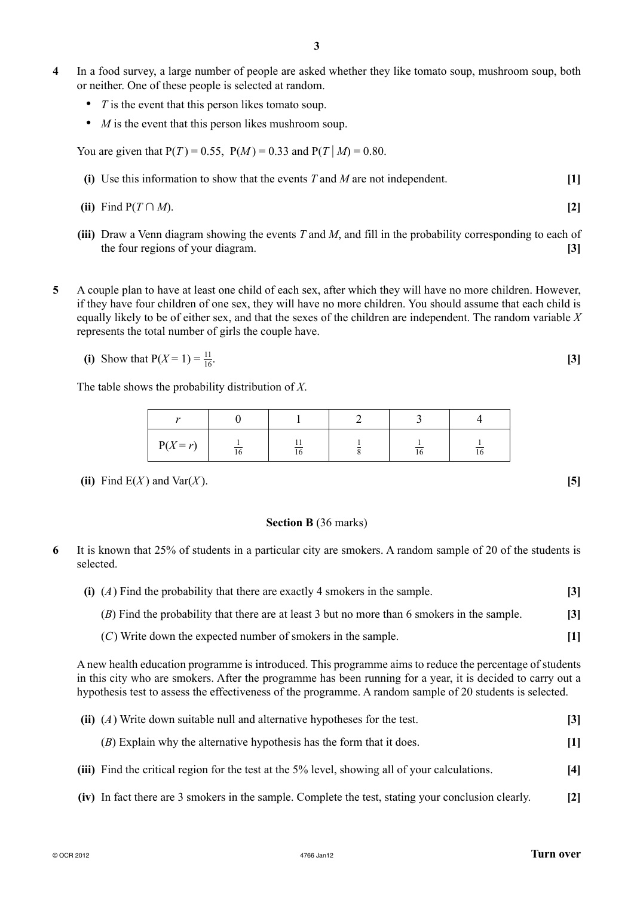- **4** In a food survey, a large number of people are asked whether they like tomato soup, mushroom soup, both or neither. One of these people is selected at random.
	- *T* is the event that this person likes tomato soup.
	- *M* is the event that this person likes mushroom soup.

You are given that  $P(T) = 0.55$ ,  $P(M) = 0.33$  and  $P(T|M) = 0.80$ .

- **(i)** Use this information to show that the events *T* and *M* are not independent. **[1]**
- **(ii)** Find  $P(T \cap M)$ . [2]
- **(iii)** Draw a Venn diagram showing the events *T* and *M*, and fill in the probability corresponding to each of the four regions of your diagram. **[3]**
- **5** A couple plan to have at least one child of each sex, after which they will have no more children. However, if they have four children of one sex, they will have no more children. You should assume that each child is equally likely to be of either sex, and that the sexes of the children are independent. The random variable *X* represents the total number of girls the couple have.
	- **(i)** Show that  $P(X = 1) = \frac{11}{16}$ .  $\frac{11}{16}$ . **[3]**

The table shows the probability distribution of *X*.

| ٠.         |    |         |    |    |
|------------|----|---------|----|----|
| $P(X = r)$ | 10 | ∸<br>16 | 10 | 16 |

**(ii)** Find E(*X*) and Var(*X*). **[5]** 

### **Section B** (36 marks)

- **6** It is known that 25% of students in a particular city are smokers. A random sample of 20 of the students is selected.
	- **(i)** (*A*) Find the probability that there are exactly 4 smokers in the sample. **[3]** (*B*) Find the probability that there are at least 3 but no more than 6 smokers in the sample. **[3]**
		- (*C*) Write down the expected number of smokers in the sample. **[1]**

A new health education programme is introduced. This programme aims to reduce the percentage of students in this city who are smokers. After the programme has been running for a year, it is decided to carry out a hypothesis test to assess the effectiveness of the programme. A random sample of 20 students is selected.

| (ii) $(A)$ Write down suitable null and alternative hypotheses for the test.                   | $\mathbf{[3]}$ |
|------------------------------------------------------------------------------------------------|----------------|
| $(B)$ Explain why the alternative hypothesis has the form that it does.                        | $[1]$          |
| (iii) Find the critical region for the test at the 5% level, showing all of your calculations. | [4]            |

 **(iv)** In fact there are 3 smokers in the sample. Complete the test, stating your conclusion clearly. **[2]**